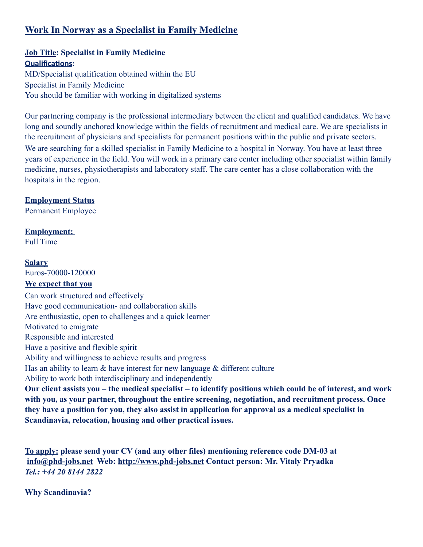# **Work In Norway as a Specialist in Family Medicine**

### **Job Title: Specialist in Family Medicine Qualifications:**

MD/Specialist qualification obtained within the EU Specialist in Family Medicine You should be familiar with working in digitalized systems

Our partnering company is the professional intermediary between the client and qualified candidates. We have long and soundly anchored knowledge within the fields of recruitment and medical care. We are specialists in the recruitment of physicians and specialists for permanent positions within the public and private sectors. We are searching for a skilled specialist in Family Medicine to a hospital in Norway. You have at least three years of experience in the field. You will work in a primary care center including other specialist within family medicine, nurses, physiotherapists and laboratory staff. The care center has a close collaboration with the hospitals in the region.

## **Employment Status**

Permanent Employee

# **Employment:**

Full Time

#### **Salary**

Euros-70000-120000

## **We expect that you**

Can work structured and effectively Have good communication- and collaboration skills Are enthusiastic, open to challenges and a quick learner Motivated to emigrate Responsible and interested Have a positive and flexible spirit Ability and willingness to achieve results and progress Has an ability to learn  $\&$  have interest for new language  $\&$  different culture Ability to work both interdisciplinary and independently **Our client assists you – the medical specialist – to identify positions which could be of interest, and work with you, as your partner, throughout the entire screening, negotiation, and recruitment process. Once they have a position for you, they also assist in application for approval as a medical specialist in Scandinavia, relocation, housing and other practical issues.** 

**To apply: please send your CV (and any other files) mentioning reference code DM-03 at [info@phd-jobs.net](mailto:info@phd-jobs.net) Web: <http://www.phd-jobs.net> Contact person: Mr. Vitaly Pryadka**  *Tel.: +44 20 8144 2822*

**Why Scandinavia?**